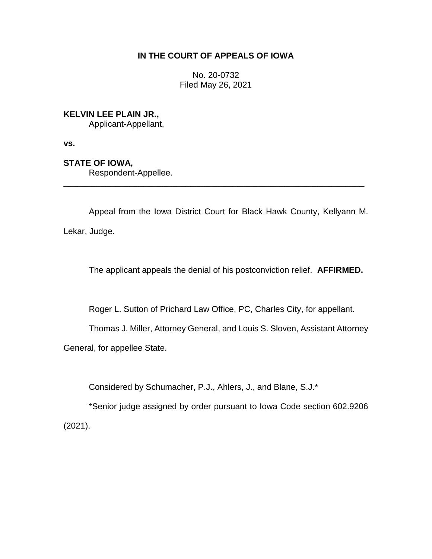# **IN THE COURT OF APPEALS OF IOWA**

No. 20-0732 Filed May 26, 2021

# **KELVIN LEE PLAIN JR.,**

Applicant-Appellant,

**vs.**

# **STATE OF IOWA,**

Respondent-Appellee.

Appeal from the Iowa District Court for Black Hawk County, Kellyann M. Lekar, Judge.

\_\_\_\_\_\_\_\_\_\_\_\_\_\_\_\_\_\_\_\_\_\_\_\_\_\_\_\_\_\_\_\_\_\_\_\_\_\_\_\_\_\_\_\_\_\_\_\_\_\_\_\_\_\_\_\_\_\_\_\_\_\_\_\_

The applicant appeals the denial of his postconviction relief. **AFFIRMED.**

Roger L. Sutton of Prichard Law Office, PC, Charles City, for appellant.

Thomas J. Miller, Attorney General, and Louis S. Sloven, Assistant Attorney

General, for appellee State.

Considered by Schumacher, P.J., Ahlers, J., and Blane, S.J.\*

\*Senior judge assigned by order pursuant to Iowa Code section 602.9206 (2021).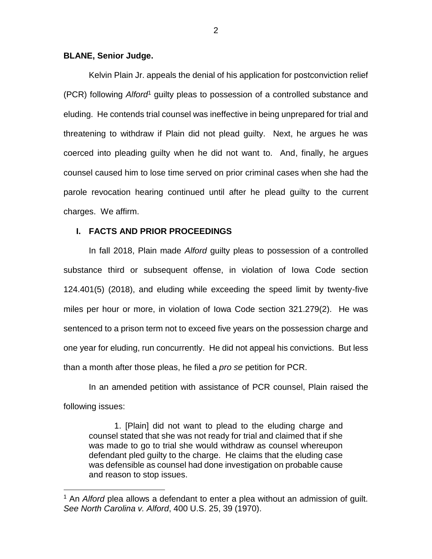#### **BLANE, Senior Judge.**

 $\overline{a}$ 

Kelvin Plain Jr. appeals the denial of his application for postconviction relief (PCR) following *Alford*<sup>1</sup> guilty pleas to possession of a controlled substance and eluding. He contends trial counsel was ineffective in being unprepared for trial and threatening to withdraw if Plain did not plead guilty. Next, he argues he was coerced into pleading guilty when he did not want to. And, finally, he argues counsel caused him to lose time served on prior criminal cases when she had the parole revocation hearing continued until after he plead guilty to the current charges. We affirm.

### **I. FACTS AND PRIOR PROCEEDINGS**

In fall 2018, Plain made *Alford* guilty pleas to possession of a controlled substance third or subsequent offense, in violation of Iowa Code section 124.401(5) (2018), and eluding while exceeding the speed limit by twenty-five miles per hour or more, in violation of Iowa Code section 321.279(2). He was sentenced to a prison term not to exceed five years on the possession charge and one year for eluding, run concurrently. He did not appeal his convictions. But less than a month after those pleas, he filed a *pro se* petition for PCR.

In an amended petition with assistance of PCR counsel, Plain raised the following issues:

1. [Plain] did not want to plead to the eluding charge and counsel stated that she was not ready for trial and claimed that if she was made to go to trial she would withdraw as counsel whereupon defendant pled guilty to the charge. He claims that the eluding case was defensible as counsel had done investigation on probable cause and reason to stop issues.

<sup>1</sup> An *Alford* plea allows a defendant to enter a plea without an admission of guilt. *See North Carolina v. Alford*, 400 U.S. 25, 39 (1970).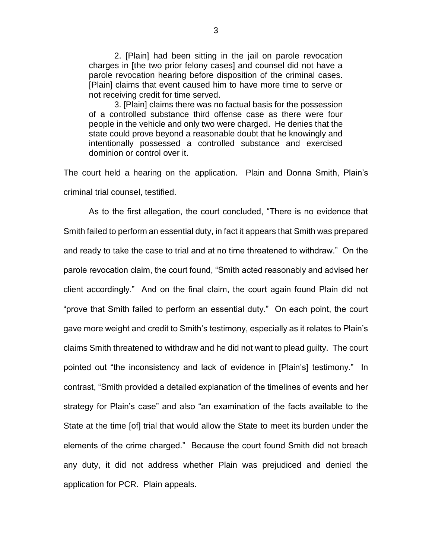2. [Plain] had been sitting in the jail on parole revocation charges in [the two prior felony cases] and counsel did not have a parole revocation hearing before disposition of the criminal cases. [Plain] claims that event caused him to have more time to serve or not receiving credit for time served.

3. [Plain] claims there was no factual basis for the possession of a controlled substance third offense case as there were four people in the vehicle and only two were charged. He denies that the state could prove beyond a reasonable doubt that he knowingly and intentionally possessed a controlled substance and exercised dominion or control over it.

The court held a hearing on the application. Plain and Donna Smith, Plain's criminal trial counsel, testified.

As to the first allegation, the court concluded, "There is no evidence that Smith failed to perform an essential duty, in fact it appears that Smith was prepared and ready to take the case to trial and at no time threatened to withdraw." On the parole revocation claim, the court found, "Smith acted reasonably and advised her client accordingly." And on the final claim, the court again found Plain did not "prove that Smith failed to perform an essential duty." On each point, the court gave more weight and credit to Smith's testimony, especially as it relates to Plain's claims Smith threatened to withdraw and he did not want to plead guilty. The court pointed out "the inconsistency and lack of evidence in [Plain's] testimony." In contrast, "Smith provided a detailed explanation of the timelines of events and her strategy for Plain's case" and also "an examination of the facts available to the State at the time [of] trial that would allow the State to meet its burden under the elements of the crime charged." Because the court found Smith did not breach any duty, it did not address whether Plain was prejudiced and denied the application for PCR. Plain appeals.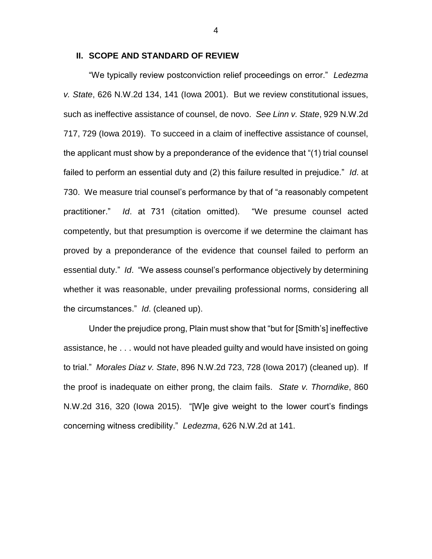### **II. SCOPE AND STANDARD OF REVIEW**

"We typically review postconviction relief proceedings on error." *Ledezma v. State*, 626 N.W.2d 134, 141 (Iowa 2001). But we review constitutional issues, such as ineffective assistance of counsel, de novo. *See Linn v. State*, 929 N.W.2d 717, 729 (Iowa 2019). To succeed in a claim of ineffective assistance of counsel, the applicant must show by a preponderance of the evidence that "(1) trial counsel failed to perform an essential duty and (2) this failure resulted in prejudice." *Id*. at 730. We measure trial counsel's performance by that of "a reasonably competent practitioner." *Id*. at 731 (citation omitted). "We presume counsel acted competently, but that presumption is overcome if we determine the claimant has proved by a preponderance of the evidence that counsel failed to perform an essential duty." *Id*. "We assess counsel's performance objectively by determining whether it was reasonable, under prevailing professional norms, considering all the circumstances." *Id*. (cleaned up).

Under the prejudice prong, Plain must show that "but for [Smith's] ineffective assistance, he . . . would not have pleaded guilty and would have insisted on going to trial." *Morales Diaz v. State*, 896 N.W.2d 723, 728 (Iowa 2017) (cleaned up). If the proof is inadequate on either prong, the claim fails. *State v. Thorndike*, 860 N.W.2d 316, 320 (Iowa 2015). "[W]e give weight to the lower court's findings concerning witness credibility." *Ledezma*, 626 N.W.2d at 141.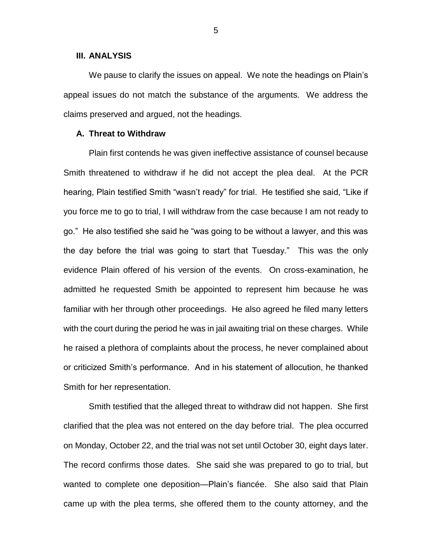#### **III. ANALYSIS**

We pause to clarify the issues on appeal. We note the headings on Plain's appeal issues do not match the substance of the arguments. We address the claims preserved and argued, not the headings.

## **A. Threat to Withdraw**

Plain first contends he was given ineffective assistance of counsel because Smith threatened to withdraw if he did not accept the plea deal. At the PCR hearing, Plain testified Smith "wasn't ready" for trial. He testified she said, "Like if you force me to go to trial, I will withdraw from the case because I am not ready to go." He also testified she said he "was going to be without a lawyer, and this was the day before the trial was going to start that Tuesday." This was the only evidence Plain offered of his version of the events. On cross-examination, he admitted he requested Smith be appointed to represent him because he was familiar with her through other proceedings. He also agreed he filed many letters with the court during the period he was in jail awaiting trial on these charges. While he raised a plethora of complaints about the process, he never complained about or criticized Smith's performance. And in his statement of allocution, he thanked Smith for her representation.

Smith testified that the alleged threat to withdraw did not happen. She first clarified that the plea was not entered on the day before trial. The plea occurred on Monday, October 22, and the trial was not set until October 30, eight days later. The record confirms those dates. She said she was prepared to go to trial, but wanted to complete one deposition—Plain's fiancée. She also said that Plain came up with the plea terms, she offered them to the county attorney, and the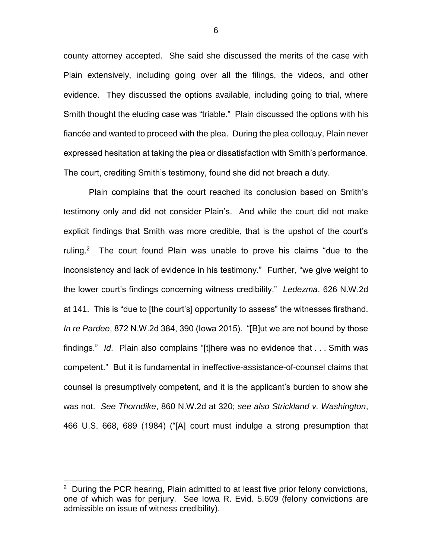county attorney accepted. She said she discussed the merits of the case with Plain extensively, including going over all the filings, the videos, and other evidence. They discussed the options available, including going to trial, where Smith thought the eluding case was "triable." Plain discussed the options with his fiancée and wanted to proceed with the plea. During the plea colloquy, Plain never expressed hesitation at taking the plea or dissatisfaction with Smith's performance. The court, crediting Smith's testimony, found she did not breach a duty.

Plain complains that the court reached its conclusion based on Smith's testimony only and did not consider Plain's. And while the court did not make explicit findings that Smith was more credible, that is the upshot of the court's ruling.<sup>2</sup> The court found Plain was unable to prove his claims "due to the inconsistency and lack of evidence in his testimony." Further, "we give weight to the lower court's findings concerning witness credibility." *Ledezma*, 626 N.W.2d at 141. This is "due to [the court's] opportunity to assess" the witnesses firsthand. *In re Pardee*, 872 N.W.2d 384, 390 (Iowa 2015). "[B]ut we are not bound by those findings." *Id*. Plain also complains "[t]here was no evidence that . . . Smith was competent." But it is fundamental in ineffective-assistance-of-counsel claims that counsel is presumptively competent, and it is the applicant's burden to show she was not. *See Thorndike*, 860 N.W.2d at 320; *see also Strickland v. Washington*, 466 U.S. 668, 689 (1984) ("[A] court must indulge a strong presumption that

 $\overline{a}$ 

6

<sup>&</sup>lt;sup>2</sup> During the PCR hearing, Plain admitted to at least five prior felony convictions, one of which was for perjury. See Iowa R. Evid. 5.609 (felony convictions are admissible on issue of witness credibility).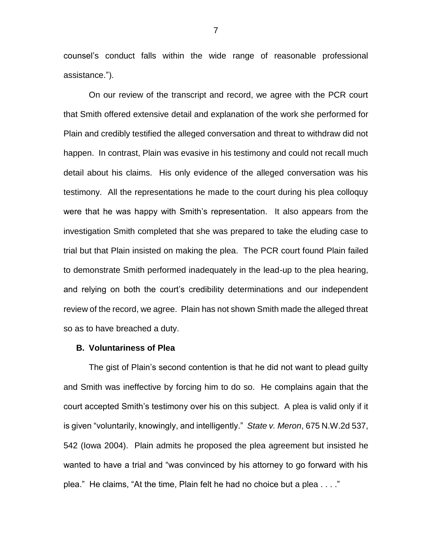counsel's conduct falls within the wide range of reasonable professional assistance.").

On our review of the transcript and record, we agree with the PCR court that Smith offered extensive detail and explanation of the work she performed for Plain and credibly testified the alleged conversation and threat to withdraw did not happen. In contrast, Plain was evasive in his testimony and could not recall much detail about his claims. His only evidence of the alleged conversation was his testimony. All the representations he made to the court during his plea colloquy were that he was happy with Smith's representation. It also appears from the investigation Smith completed that she was prepared to take the eluding case to trial but that Plain insisted on making the plea. The PCR court found Plain failed to demonstrate Smith performed inadequately in the lead-up to the plea hearing, and relying on both the court's credibility determinations and our independent review of the record, we agree. Plain has not shown Smith made the alleged threat so as to have breached a duty.

#### **B. Voluntariness of Plea**

The gist of Plain's second contention is that he did not want to plead guilty and Smith was ineffective by forcing him to do so. He complains again that the court accepted Smith's testimony over his on this subject. A plea is valid only if it is given "voluntarily, knowingly, and intelligently." *State v. Meron*, 675 N.W.2d 537, 542 (Iowa 2004). Plain admits he proposed the plea agreement but insisted he wanted to have a trial and "was convinced by his attorney to go forward with his plea." He claims, "At the time, Plain felt he had no choice but a plea . . . ."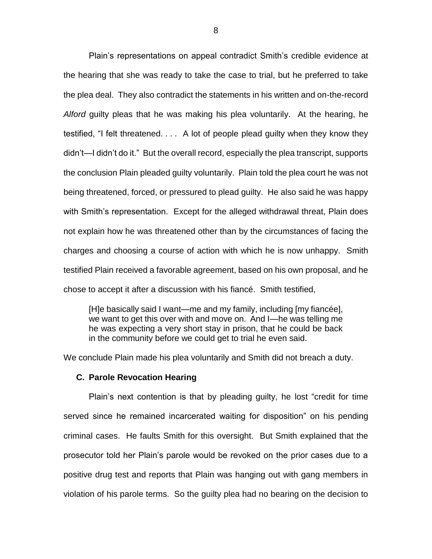Plain's representations on appeal contradict Smith's credible evidence at the hearing that she was ready to take the case to trial, but he preferred to take the plea deal. They also contradict the statements in his written and on-the-record *Alford* guilty pleas that he was making his plea voluntarily. At the hearing, he testified, "I felt threatened. . . . A lot of people plead guilty when they know they didn't—I didn't do it." But the overall record, especially the plea transcript, supports the conclusion Plain pleaded guilty voluntarily. Plain told the plea court he was not being threatened, forced, or pressured to plead guilty. He also said he was happy with Smith's representation. Except for the alleged withdrawal threat, Plain does not explain how he was threatened other than by the circumstances of facing the charges and choosing a course of action with which he is now unhappy. Smith testified Plain received a favorable agreement, based on his own proposal, and he chose to accept it after a discussion with his fiancé. Smith testified,

[H]e basically said I want—me and my family, including [my fiancée], we want to get this over with and move on. And I—he was telling me he was expecting a very short stay in prison, that he could be back in the community before we could get to trial he even said.

We conclude Plain made his plea voluntarily and Smith did not breach a duty.

### **C. Parole Revocation Hearing**

Plain's next contention is that by pleading guilty, he lost "credit for time served since he remained incarcerated waiting for disposition" on his pending criminal cases. He faults Smith for this oversight. But Smith explained that the prosecutor told her Plain's parole would be revoked on the prior cases due to a positive drug test and reports that Plain was hanging out with gang members in violation of his parole terms. So the guilty plea had no bearing on the decision to